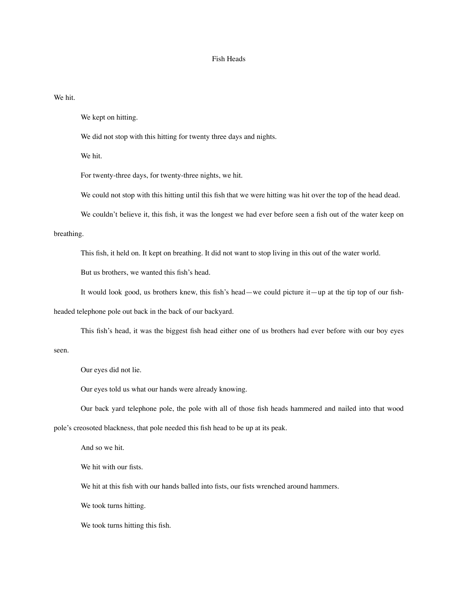## Fish Heads

We hit.

We kept on hitting.

We did not stop with this hitting for twenty three days and nights.

We hit.

For twenty-three days, for twenty-three nights, we hit.

We could not stop with this hitting until this fish that we were hitting was hit over the top of the head dead.

We couldn't believe it, this fish, it was the longest we had ever before seen a fish out of the water keep on

## breathing.

This fish, it held on. It kept on breathing. It did not want to stop living in this out of the water world.

But us brothers, we wanted this fish's head.

It would look good, us brothers knew, this fish's head—we could picture it—up at the tip top of our fish-

headed telephone pole out back in the back of our backyard.

This fish's head, it was the biggest fish head either one of us brothers had ever before with our boy eyes

seen.

Our eyes did not lie.

Our eyes told us what our hands were already knowing.

Our back yard telephone pole, the pole with all of those fish heads hammered and nailed into that wood

pole's creosoted blackness, that pole needed this fish head to be up at its peak.

And so we hit.

We hit with our fists.

We hit at this fish with our hands balled into fists, our fists wrenched around hammers.

We took turns hitting.

We took turns hitting this fish.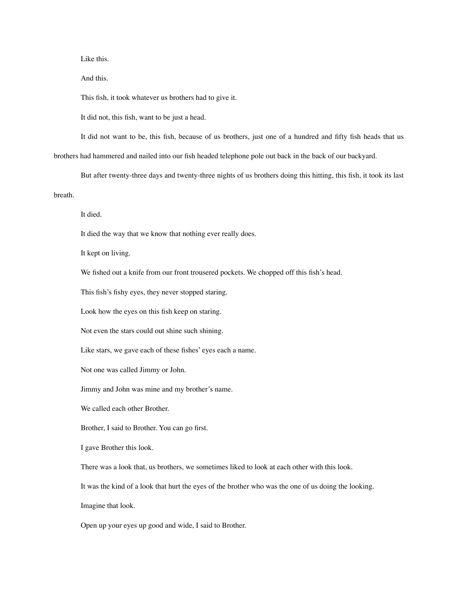Like this.

And this.

This fish, it took whatever us brothers had to give it.

It did not, this fish, want to be just a head.

It did not want to be, this fish, because of us brothers, just one of a hundred and fifty fish heads that us brothers had hammered and nailed into our fish headed telephone pole out back in the back of our backyard.

But after twenty-three days and twenty-three nights of us brothers doing this hitting, this fish, it took its last breath.

It died.

It died the way that we know that nothing ever really does.

It kept on living.

We fished out a knife from our front trousered pockets. We chopped off this fish's head.

This fish's fishy eyes, they never stopped staring.

Look how the eyes on this fish keep on staring.

Not even the stars could out shine such shining.

Like stars, we gave each of these fishes' eyes each a name.

Not one was called Jimmy or John.

Jimmy and John was mine and my brother's name.

We called each other Brother.

Brother, I said to Brother. You can go first.

I gave Brother this look.

There was a look that, us brothers, we sometimes liked to look at each other with this look.

It was the kind of a look that hurt the eyes of the brother who was the one of us doing the looking.

Imagine that look.

Open up your eyes up good and wide, I said to Brother.